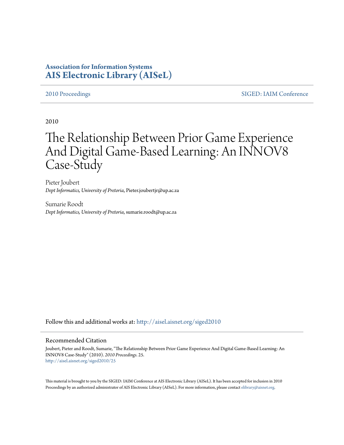# **Association for Information Systems [AIS Electronic Library \(AISeL\)](http://aisel.aisnet.org?utm_source=aisel.aisnet.org%2Fsiged2010%2F25&utm_medium=PDF&utm_campaign=PDFCoverPages)**

[2010 Proceedings](http://aisel.aisnet.org/siged2010?utm_source=aisel.aisnet.org%2Fsiged2010%2F25&utm_medium=PDF&utm_campaign=PDFCoverPages) [SIGED: IAIM Conference](http://aisel.aisnet.org/siged?utm_source=aisel.aisnet.org%2Fsiged2010%2F25&utm_medium=PDF&utm_campaign=PDFCoverPages)

2010

# The Relationship Between Prior Game Experience And Digital Game-Based Learning: An INNOV8 Case-Study

Pieter Joubert *Dept Informatics, University of Pretoria*, Pieter.joubertjr@up.ac.za

Sumarie Roodt *Dept Informatics, University of Pretoria*, sumarie.roodt@up.ac.za

Follow this and additional works at: [http://aisel.aisnet.org/siged2010](http://aisel.aisnet.org/siged2010?utm_source=aisel.aisnet.org%2Fsiged2010%2F25&utm_medium=PDF&utm_campaign=PDFCoverPages)

#### Recommended Citation

Joubert, Pieter and Roodt, Sumarie, "The Relationship Between Prior Game Experience And Digital Game-Based Learning: An INNOV8 Case-Study" (2010). *2010 Proceedings*. 25. [http://aisel.aisnet.org/siged2010/25](http://aisel.aisnet.org/siged2010/25?utm_source=aisel.aisnet.org%2Fsiged2010%2F25&utm_medium=PDF&utm_campaign=PDFCoverPages)

This material is brought to you by the SIGED: IAIM Conference at AIS Electronic Library (AISeL). It has been accepted for inclusion in 2010 Proceedings by an authorized administrator of AIS Electronic Library (AISeL). For more information, please contact [elibrary@aisnet.org](mailto:elibrary@aisnet.org%3E).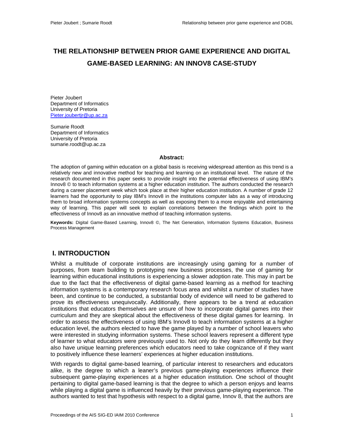# **THE RELATIONSHIP BETWEEN PRIOR GAME EXPERIENCE AND DIGITAL GAME-BASED LEARNING: AN INNOV8 CASE-STUDY**

Pieter Joubert Department of Informatics University of Pretoria Pieter.joubertir@up.ac.za

Sumarie Roodt Department of Informatics University of Pretoria sumarie.roodt@up.ac.za

#### **Abstract:**

The adoption of gaming within education on a global basis is receiving widespread attention as this trend is a relatively new and innovative method for teaching and learning on an institutional level. The nature of the research documented in this paper seeks to provide insight into the potential effectiveness of using IBM's Innov8 © to teach information systems at a higher education institution. The authors conducted the research during a career placement week which took place at their higher education institution. A number of grade 12 learners had the opportunity to play IBM's Innov8 in the institutions computer labs as a way of introducing them to broad information systems concepts as well as exposing them to a more enjoyable and entertaining way of learning. This paper will seek to explain correlations between the findings which point to the effectiveness of Innov8 as an innovative method of teaching information systems.

**Keywords:** Digital Game-Based Learning, Innov8 ©, The Net Generation, Information Systems Education, Business Process Management

#### **I. INTRODUCTION**

Whilst a multitude of corporate institutions are increasingly using gaming for a number of purposes, from team building to prototyping new business processes, the use of gaming for learning within educational institutions is experiencing a slower adoption rate. This may in part be due to the fact that the effectiveness of digital game-based learning as a method for teaching information systems is a contemporary research focus area and whilst a number of studies have been, and continue to be conducted, a substantial body of evidence will need to be gathered to prove its effectiveness unequivocally. Additionally, there appears to be a trend at education institutions that educators themselves are unsure of how to incorporate digital games into their curriculum and they are skeptical about the effectiveness of these digital games for learning. In order to assess the effectiveness of using IBM's Innov8 to teach information systems at a higher education level, the authors elected to have the game played by a number of school leavers who were interested in studying information systems. These school leavers represent a different type of learner to what educators were previously used to. Not only do they learn differently but they also have unique learning preferences which educators need to take cognizance of if they want to positively influence these learners' experiences at higher education institutions.

With regards to digital game-based learning, of particular interest to researchers and educators alike, is the degree to which a leaner's previous game-playing experiences influence their subsequent game-playing experiences at a higher education institution. One school of thought pertaining to digital game-based learning is that the degree to which a person enjoys and learns while playing a digital game is influenced heavily by their previous game-playing experience. The authors wanted to test that hypothesis with respect to a digital game, Innov 8, that the authors are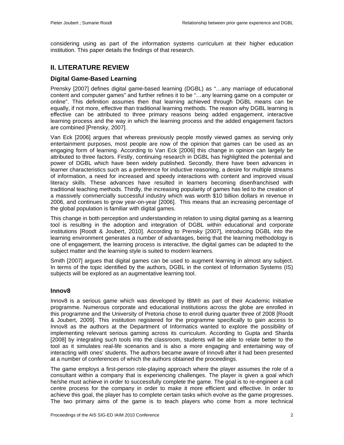considering using as part of the information systems curriculum at their higher education institution. This paper details the findings of that research.

## **II. LITERATURE REVIEW**

#### **Digital Game-Based Learning**

Prensky [2007] defines digital game-based learning (DGBL) as "…any marriage of educational content and computer games" and further refines it to be "…any learning game on a computer or online". This definition assumes then that learning achieved through DGBL means can be equally, if not more, effective than traditional learning methods. The reason why DGBL learning is effective can be attributed to three primary reasons being added engagement, interactive learning process and the way in which the learning process and the added engagement factors are combined [Prensky, 2007].

Van Eck [2006] argues that whereas previously people mostly viewed games as serving only entertainment purposes, most people are now of the opinion that games can be used as an engaging form of learning. According to Van Eck [2006] this change in opinion can largely be attributed to three factors. Firstly, continuing research in DGBL has highlighted the potential and power of DGBL which have been widely published. Secondly, there have been advances in learner characteristics such as a preference for inductive reasoning, a desire for multiple streams of information, a need for increased and speedy interactions with content and improved visual literacy skills. These advances have resulted in learners becoming disenfranchised with traditional teaching methods. Thirdly, the increasing popularity of games has led to the creation of a massively commercially successful industry which was worth \$10 billion dollars in revenue in 2006, and continues to grow year-on-year [2006]. This means that an increasing percentage of the global population is familiar with digital games.

This change in both perception and understanding in relation to using digital gaming as a learning tool is resulting in the adoption and integration of DGBL within educational and corporate institutions [Roodt & Joubert, 2010]. According to Prensky [2007], introducing DGBL into the learning environment generates a number of advantages, being that the learning methodology is one of engagement, the learning process is interactive, the digital games can be adapted to the subject matter and the learning style is suited to modern learners.

Smith [2007] argues that digital games can be used to augment learning in almost any subject. In terms of the topic identified by the authors, DGBL in the context of Information Systems (IS) subjects will be explored as an augmentative learning tool.

#### **Innov8**

Innov8 is a serious game which was developed by IBM® as part of their Academic Initiative programme. Numerous corporate and educational institutions across the globe are enrolled in this programme and the University of Pretoria chose to enroll during quarter three of 2008 [Roodt & Joubert, 2009]. This institution registered for the programme specifically to gain access to Innov8 as the authors at the Department of Informatics wanted to explore the possibility of implementing relevant serious gaming across its curriculum. According to Gupta and Sharda [2008] by integrating such tools into the classroom, students will be able to relate better to the tool as it simulates real-life scenarios and is also a more engaging and entertaining way of interacting with ones' students. The authors became aware of Innov8 after it had been presented at a number of conferences of which the authors obtained the proceedings.

The game employs a first-person role-playing approach where the player assumes the role of a consultant within a company that is experiencing challenges. The player is given a goal which he/she must achieve in order to successfully complete the game. The goal is to re-engineer a call centre process for the company in order to make it more efficient and effective. In order to achieve this goal, the player has to complete certain tasks which evolve as the game progresses. The two primary aims of the game is to teach players who come from a more technical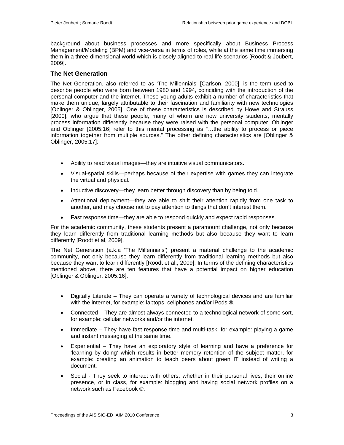background about business processes and more specifically about Business Process Management/Modeling (BPM) and vice-versa in terms of roles, while at the same time immersing them in a three-dimensional world which is closely aligned to real-life scenarios [Roodt & Joubert, 2009].

#### **The Net Generation**

The Net Generation, also referred to as 'The Millennials' [Carlson, 2000], is the term used to describe people who were born between 1980 and 1994, coinciding with the introduction of the personal computer and the internet. These young adults exhibit a number of characteristics that make them unique, largely attributable to their fascination and familiarity with new technologies [Oblinger & Oblinger, 2005]. One of these characteristics is described by Howe and Strauss [2000], who argue that these people, many of whom are now university students, mentally process information differently because they were raised with the personal computer. Oblinger and Oblinger [2005:16] refer to this mental processing as "…the ability to process or piece information together from multiple sources." The other defining characteristics are [Oblinger & Oblinger, 2005:17]:

- Ability to read visual images—they are intuitive visual communicators.
- Visual-spatial skills—perhaps because of their expertise with games they can integrate the virtual and physical.
- Inductive discovery—they learn better through discovery than by being told.
- Attentional deployment—they are able to shift their attention rapidly from one task to another, and may choose not to pay attention to things that don't interest them.
- Fast response time—they are able to respond quickly and expect rapid responses.

For the academic community, these students present a paramount challenge, not only because they learn differently from traditional learning methods but also because they want to learn differently [Roodt et al, 2009].

The Net Generation (a.k.a 'The Millennials') present a material challenge to the academic community, not only because they learn differently from traditional learning methods but also because they want to learn differently [Roodt et al., 2009]. In terms of the defining characteristics mentioned above, there are ten features that have a potential impact on higher education [Oblinger & Oblinger, 2005:16]:

- Digitally Literate They can operate a variety of technological devices and are familiar with the internet, for example: laptops, cellphones and/or iPods ®.
- Connected They are almost always connected to a technological network of some sort, for example: cellular networks and/or the internet.
- Immediate They have fast response time and multi-task, for example: playing a game and instant messaging at the same time.
- Experiential They have an exploratory style of learning and have a preference for 'learning by doing' which results in better memory retention of the subject matter, for example: creating an animation to teach peers about green IT instead of writing a document.
- Social They seek to interact with others, whether in their personal lives, their online presence, or in class, for example: blogging and having social network profiles on a network such as Facebook ®.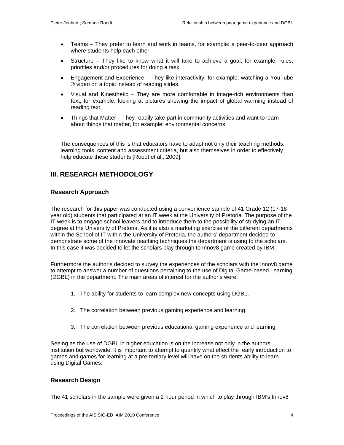- Teams They prefer to learn and work in teams, for example: a peer-to-peer approach where students help each other.
- Structure They like to know what it will take to achieve a goal, for example: rules, priorities and/or procedures for doing a task.
- Engagement and Experience They like interactivity, for example: watching a YouTube ® video on a topic instead of reading slides.
- Visual and Kinesthetic They are more comfortable in image-rich environments than text, for example: looking at pictures showing the impact of global warming instead of reading text.
- Things that Matter They readily take part in community activities and want to learn about things that matter, for example: environmental concerns.

The consequences of this is that educators have to adapt not only their teaching methods, learning tools, content and assessment criteria, but also themselves in order to effectively help educate these students [Roodt et al., 2009].

# **III. RESEARCH METHODOLOGY**

#### **Research Approach**

The research for this paper was conducted using a convenience sample of 41 Grade 12 (17-18 year old) students that participated at an IT week at the University of Pretoria. The purpose of the IT week is to engage school leavers and to introduce them to the possibility of studying an IT degree at the University of Pretoria. As it is also a marketing exercise of the different departments within the School of IT within the University of Pretoria, the authors' department decided to demonstrate some of the innovate teaching techniques the department is using to the scholars. In this case it was decided to let the scholars play through to Innov8 game created by IBM.

Furthermore the author's decided to survey the experiences of the scholars with the Innov8 game to attempt to answer a number of questions pertaining to the use of Digital Game-based Learning (DGBL) in the department. The main areas of interest for the author's were:

- 1. The ability for students to learn complex new concepts using DGBL.
- 2. The correlation between previous gaming experience and learning.
- 3. The correlation between previous educational gaming experience and learning.

Seeing as the use of DGBL in higher education is on the increase not only in the authors' institution but worldwide, it is important to attempt to quantify what effect the early introduction to games and games for learning at a pre-tertiary level will have on the students ability to learn using Digital Games.

#### **Research Design**

The 41 scholars in the sample were given a 2 hour period in which to play through IBM's Innov8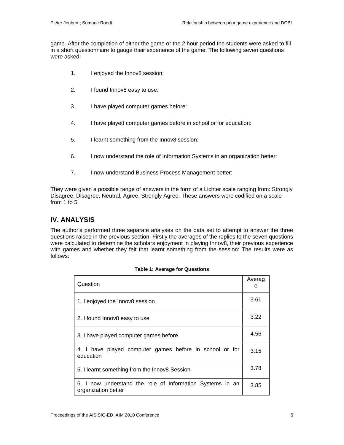game. After the completion of either the game or the 2 hour period the students were asked to fill in a short questionnaire to gauge their experience of the game. The following seven questions were asked:

- 1. I enjoyed the Innov8 session:
- 2. I found Innov8 easy to use:
- 3. I have played computer games before:
- 4. I have played computer games before in school or for education:
- 5. I learnt something from the Innov8 session:
- 6. I now understand the role of Information Systems in an organization better:
- 7. I now understand Business Process Management better:

They were given a possible range of answers in the form of a Lichter scale ranging from: Strongly Disagree, Disagree, Neutral, Agree, Strongly Agree. These answers were codified on a scale from 1 to 5.

### **IV. ANALYSIS**

The author's performed three separate analyses on the data set to attempt to answer the three questions raised in the previous section. Firstly the averages of the replies to the seven questions were calculated to determine the scholars enjoyment in playing Innov8, their previous experience with games and whether they felt that learnt something from the session: The results were as follows:

| Question                                                                         | Averag<br>е |  |
|----------------------------------------------------------------------------------|-------------|--|
| 1. I enjoyed the Innov8 session                                                  | 3.61        |  |
| 2. I found Innov8 easy to use                                                    | 3.22        |  |
| 3. I have played computer games before                                           |             |  |
| 4. I have played computer games before in school or for<br>education             |             |  |
| 5. I learnt something from the Innov8 Session                                    |             |  |
| 6. I now understand the role of Information Systems in an<br>organization better |             |  |

|  |  |  | Table 1: Average for Questions |
|--|--|--|--------------------------------|
|--|--|--|--------------------------------|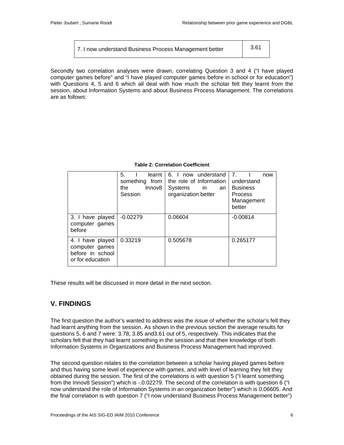| 7. I now understand Business Process Management better | 3.61 |  |
|--------------------------------------------------------|------|--|
|--------------------------------------------------------|------|--|

Secondly two correlation analyses were drawn, correlating Question 3 and 4 ("I have played computer games before" and "I have played computer games before in school or for education") with Questions 4, 5 and 6 which all deal with how much the scholar felt they learnt from the session, about Information Systems and about Business Process Management. The correlations are as follows:

#### **Table 2: Correlation Coefficient**

|                                                                            | 5.<br>learnt<br>something from<br>Innov8<br>the<br>Session | 6. I now understand<br>the role of Information<br>Systems<br><i>in</i><br>an<br>organization better | 7 <sub>1</sub><br>now<br>understand<br><b>Business</b><br><b>Process</b><br>Management<br>better |
|----------------------------------------------------------------------------|------------------------------------------------------------|-----------------------------------------------------------------------------------------------------|--------------------------------------------------------------------------------------------------|
| 3. I have played<br>computer games<br>before                               | $-0.02279$                                                 | 0.06604                                                                                             | $-0.00814$                                                                                       |
| 4. I have played<br>computer games<br>before in school<br>or for education | 0.33219                                                    | 0.505678                                                                                            | 0.265177                                                                                         |

These results will be discussed in more detail in the next section.

# **V. FINDINGS**

The first question the author's wanted to address was the issue of whether the scholar's felt they had learnt anything from the session. As shown in the previous section the average results for questions 5, 6 and 7 were: 3.78, 3.85 and3.61 out of 5, respectively. This indicates that the scholars felt that they had learnt something in the session and that their knowledge of both Information Systems in Organizations and Business Process Management had improved.

The second question relates to the correlation between a scholar having played games before and thus having some level of experience with games, and with level of learning they felt they obtained during the session. The first of the correlations is with question 5 ("I learnt something from the Innov8 Session") which is -.0.02279. The second of the correlation is with question 6 ("I now understand the role of Information Systems in an organization better") which is 0.06605. And the final correlation is with question 7 ("I now understand Business Process Management better")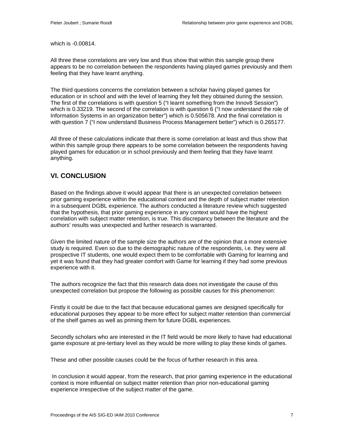which is -0.00814.

All three these correlations are very low and thus show that within this sample group there appears to be no correlation between the respondents having played games previously and them feeling that they have learnt anything.

The third questions concerns the correlation between a scholar having played games for education or in school and with the level of learning they felt they obtained during the session. The first of the correlations is with question 5 ("I learnt something from the Innov8 Session") which is 0.33219. The second of the correlation is with question 6 ("I now understand the role of Information Systems in an organization better") which is 0.505678. And the final correlation is with question 7 ("I now understand Business Process Management better") which is 0.265177.

All three of these calculations indicate that there is some correlation at least and thus show that within this sample group there appears to be some correlation between the respondents having played games for education or in school previously and them feeling that they have learnt anything.

# **VI. CONCLUSION**

Based on the findings above it would appear that there is an unexpected correlation between prior gaming experience within the educational context and the depth of subject matter retention in a subsequent DGBL experience. The authors conducted a literature review which suggested that the hypothesis, that prior gaming experience in any context would have the highest correlation with subject matter retention, is true. This discrepancy between the literature and the authors' results was unexpected and further research is warranted.

Given the limited nature of the sample size the authors are of the opinion that a more extensive study is required. Even so due to the demographic nature of the respondents, i.e. they were all prospective IT students, one would expect them to be comfortable with Gaming for learning and yet it was found that they had greater comfort with Game for learning if they had some previous experience with it.

The authors recognize the fact that this research data does not investigate the cause of this unexpected correlation but propose the following as possible causes for this phenomenon:

Firstly it could be due to the fact that because educational games are designed specifically for educational purposes they appear to be more effect for subject matter retention than commercial of the shelf games as well as priming them for future DGBL experiences.

Secondly scholars who are interested in the IT field would be more likely to have had educational game exposure at pre-tertiary level as they would be more willing to play these kinds of games.

These and other possible causes could be the focus of further research in this area.

In conclusion it would appear, from the research, that prior gaming experience in the educational context is more influential on subject matter retention than prior non-educational gaming experience irrespective of the subject matter of the game.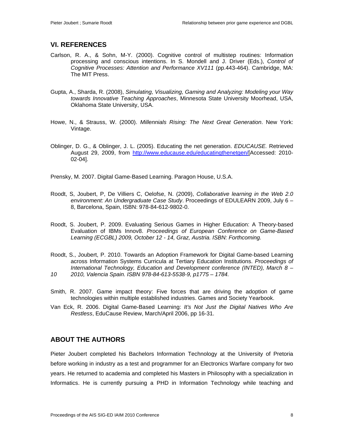#### **VI. REFERENCES**

- Carlson, R. A., & Sohn, M-Y. (2000). Cognitive control of multistep routines: Information processing and conscious intentions. In S. Mondell and J. Driver (Eds.), *Control of Cognitive Processes: Attention and Performance XV111* (pp.443-464). Cambridge, MA: The MIT Press.
- Gupta, A., Sharda, R. (2008), *Simulating, Visualizing, Gaming and Analyzing: Modeling your Way towards Innovative Teaching Approaches*, Minnesota State University Moorhead, USA, Oklahoma State University, USA.
- Howe, N., & Strauss, W. (2000). *Millennials Rising: The Next Great Generation*. New York: Vintage.
- Oblinger, D. G., & Oblinger, J. L. (2005). Educating the net generation. *EDUCAUSE.* Retrieved August 29, 2009, from [http://www.educause.edu/educatingthenetgen/\[](http://www.educause.edu/educatingthenetgen/)Accessed: 2010- 02-04].

Prensky, M. 2007. Digital Game-Based Learning. Paragon House, U.S.A.

- Roodt, S, Joubert, P, De Villiers C, Oelofse, N. (2009), *Collaborative learning in the Web 2.0 environment: An Undergraduate Case Study*. Proceedings of EDULEARN 2009, July 6 – 8, Barcelona, Spain, ISBN: 978-84-612-9802-0.
- Roodt, S. Joubert, P. 2009. Evaluating Serious Games in Higher Education: A Theory-based Evaluation of IBMs Innov8. *Proceedings of European Conference on Game-Based Learning (ECGBL) 2009, October 12 - 14, Graz, Austria. ISBN: Forthcoming.*
- Roodt, S., Joubert, P. 2010. Towards an Adoption Framework for Digital Game-based Learning across Information Systems Curricula at Tertiary Education Institutions. *Proceedings of International Technology, Education and Development conference (INTED), March 8 – 10 2010, Valencia Spain. ISBN 978-84-613-5538-9, p1775 – 1784.*
- Smith, R. 2007. Game impact theory: Five forces that are driving the adoption of game
- technologies within multiple established industries. Games and Society Yearbook. Van Eck, R. 2006. Digital Game-Based Learning: *It's Not Just the Digital Natives Who Are*
- *Restless*, EduCause Review, March/April 2006, pp 16-31.

# **ABOUT THE AUTHORS**

Pieter Joubert completed his Bachelors Information Technology at the University of Pretoria before working in industry as a test and programmer for an Electronics Warfare company for two years. He returned to academia and completed his Masters in Philosophy with a specialization in Informatics. He is currently pursuing a PHD in Information Technology while teaching and